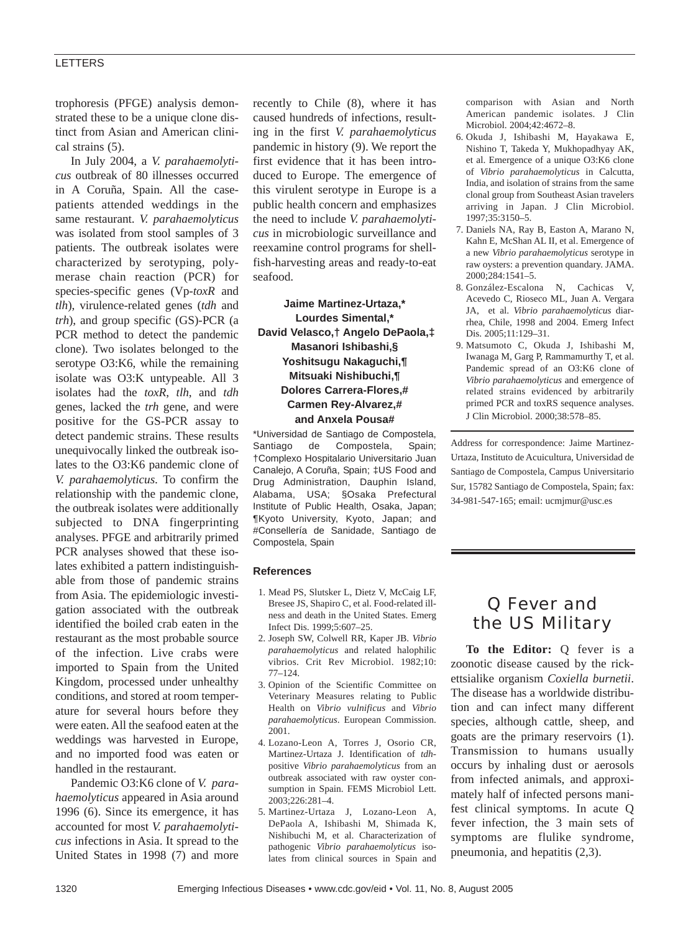#### LETTERS

trophoresis (PFGE) analysis demonstrated these to be a unique clone distinct from Asian and American clinical strains (5).

In July 2004, a *V. parahaemolyticus* outbreak of 80 illnesses occurred in A Coruña, Spain. All the casepatients attended weddings in the same restaurant. *V. parahaemolyticus* was isolated from stool samples of 3 patients. The outbreak isolates were characterized by serotyping, polymerase chain reaction (PCR) for species-specific genes (Vp-*toxR* and *tlh*), virulence-related genes (*tdh* and *trh*), and group specific (GS)-PCR (a PCR method to detect the pandemic clone). Two isolates belonged to the serotype O3:K6, while the remaining isolate was O3:K untypeable. All 3 isolates had the *toxR*, *tlh*, and *tdh* genes, lacked the *trh* gene, and were positive for the GS-PCR assay to detect pandemic strains. These results unequivocally linked the outbreak isolates to the O3:K6 pandemic clone of *V. parahaemolyticus*. To confirm the relationship with the pandemic clone, the outbreak isolates were additionally subjected to DNA fingerprinting analyses. PFGE and arbitrarily primed PCR analyses showed that these isolates exhibited a pattern indistinguishable from those of pandemic strains from Asia. The epidemiologic investigation associated with the outbreak identified the boiled crab eaten in the restaurant as the most probable source of the infection. Live crabs were imported to Spain from the United Kingdom, processed under unhealthy conditions, and stored at room temperature for several hours before they were eaten. All the seafood eaten at the weddings was harvested in Europe, and no imported food was eaten or handled in the restaurant.

Pandemic O3:K6 clone of *V. parahaemolyticus* appeared in Asia around 1996 (6). Since its emergence, it has accounted for most *V. parahaemolyticus* infections in Asia. It spread to the United States in 1998 (7) and more

recently to Chile (8), where it has caused hundreds of infections, resulting in the first *V. parahaemolyticus* pandemic in history (9). We report the first evidence that it has been introduced to Europe. The emergence of this virulent serotype in Europe is a public health concern and emphasizes the need to include *V. parahaemolyticus* in microbiologic surveillance and reexamine control programs for shellfish-harvesting areas and ready-to-eat seafood.

## **Jaime Martinez-Urtaza,\* Lourdes Simental,\* David Velasco,† Angelo DePaola,‡ Masanori Ishibashi,§ Yoshitsugu Nakaguchi,¶ Mitsuaki Nishibuchi,¶ Dolores Carrera-Flores,# Carmen Rey-Alvarez,# and Anxela Pousa#**

\*Universidad de Santiago de Compostela, Santiago de Compostela, Spain; †Complexo Hospitalario Universitario Juan Canalejo, A Coruña, Spain; ‡US Food and Drug Administration, Dauphin Island, Alabama, USA; §Osaka Prefectural Institute of Public Health, Osaka, Japan; ¶Kyoto University, Kyoto, Japan; and #Consellería de Sanidade, Santiago de Compostela, Spain

#### **References**

- 1. Mead PS, Slutsker L, Dietz V, McCaig LF, Bresee JS, Shapiro C, et al. Food-related illness and death in the United States. Emerg Infect Dis. 1999;5:607–25.
- 2. Joseph SW, Colwell RR, Kaper JB. *Vibrio parahaemolyticus* and related halophilic vibrios. Crit Rev Microbiol. 1982;10: 77–124.
- 3. Opinion of the Scientific Committee on Veterinary Measures relating to Public Health on *Vibrio vulnificus* and *Vibrio parahaemolyticus*. European Commission. 2001.
- 4. Lozano-Leon A, Torres J, Osorio CR, Martinez-Urtaza J. Identification of *tdh*positive *Vibrio parahaemolyticus* from an outbreak associated with raw oyster consumption in Spain. FEMS Microbiol Lett. 2003;226:281–4.
- 5. Martinez-Urtaza J, Lozano-Leon A, DePaola A, Ishibashi M, Shimada K, Nishibuchi M, et al. Characterization of pathogenic *Vibrio parahaemolyticus* isolates from clinical sources in Spain and

comparison with Asian and North American pandemic isolates. J Clin Microbiol. 2004;42:4672–8.

- 6. Okuda J, Ishibashi M, Hayakawa E, Nishino T, Takeda Y, Mukhopadhyay AK, et al. Emergence of a unique O3:K6 clone of *Vibrio parahaemolyticus* in Calcutta, India, and isolation of strains from the same clonal group from Southeast Asian travelers arriving in Japan. J Clin Microbiol. 1997;35:3150–5.
- 7. Daniels NA, Ray B, Easton A, Marano N, Kahn E, McShan AL II, et al. Emergence of a new *Vibrio parahaemolyticus* serotype in raw oysters: a prevention quandary. JAMA. 2000;284:1541–5.
- 8. González-Escalona N, Cachicas V, Acevedo C, Rioseco ML, Juan A. Vergara JA, et al. *Vibrio parahaemolyticus* diarrhea, Chile, 1998 and 2004. Emerg Infect Dis. 2005;11:129–31.
- 9. Matsumoto C, Okuda J, Ishibashi M, Iwanaga M, Garg P, Rammamurthy T, et al. Pandemic spread of an O3:K6 clone of *Vibrio parahaemolyticus* and emergence of related strains evidenced by arbitrarily primed PCR and toxRS sequence analyses. J Clin Microbiol. 2000;38:578–85.

Address for correspondence: Jaime Martinez-Urtaza, Instituto de Acuicultura, Universidad de Santiago de Compostela, Campus Universitario Sur, 15782 Santiago de Compostela, Spain; fax: 34-981-547-165; email: ucmjmur@usc.es

## Q Fever and the US Military

**To the Editor:** Q fever is a zoonotic disease caused by the rickettsialike organism *Coxiella burnetii*. The disease has a worldwide distribution and can infect many different species, although cattle, sheep, and goats are the primary reservoirs (1). Transmission to humans usually occurs by inhaling dust or aerosols from infected animals, and approximately half of infected persons manifest clinical symptoms. In acute Q fever infection, the 3 main sets of symptoms are flulike syndrome, pneumonia, and hepatitis (2,3).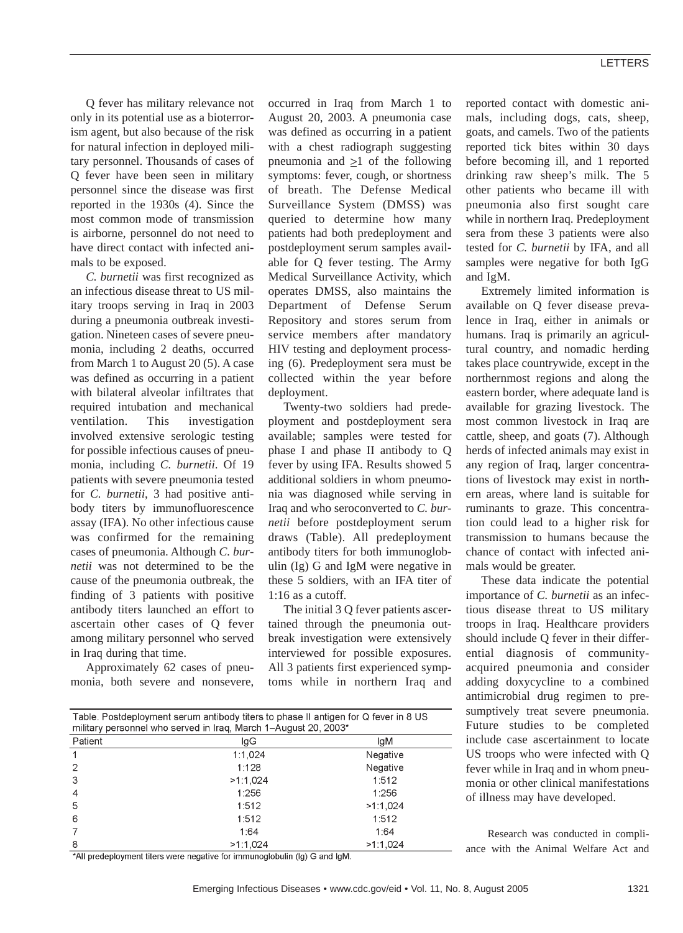Q fever has military relevance not only in its potential use as a bioterrorism agent, but also because of the risk for natural infection in deployed military personnel. Thousands of cases of Q fever have been seen in military personnel since the disease was first reported in the 1930s (4). Since the most common mode of transmission is airborne, personnel do not need to have direct contact with infected animals to be exposed.

*C. burnetii* was first recognized as an infectious disease threat to US military troops serving in Iraq in 2003 during a pneumonia outbreak investigation. Nineteen cases of severe pneumonia, including 2 deaths, occurred from March 1 to August 20 (5). A case was defined as occurring in a patient with bilateral alveolar infiltrates that required intubation and mechanical ventilation. This investigation involved extensive serologic testing for possible infectious causes of pneumonia, including *C. burnetii*. Of 19 patients with severe pneumonia tested for *C. burnetii*, 3 had positive antibody titers by immunofluorescence assay (IFA). No other infectious cause was confirmed for the remaining cases of pneumonia. Although *C. burnetii* was not determined to be the cause of the pneumonia outbreak, the finding of 3 patients with positive antibody titers launched an effort to ascertain other cases of Q fever among military personnel who served in Iraq during that time.

Approximately 62 cases of pneumonia, both severe and nonsevere,

occurred in Iraq from March 1 to August 20, 2003. A pneumonia case was defined as occurring in a patient with a chest radiograph suggesting pneumonia and  $\geq 1$  of the following symptoms: fever, cough, or shortness of breath. The Defense Medical Surveillance System (DMSS) was queried to determine how many patients had both predeployment and postdeployment serum samples available for Q fever testing. The Army Medical Surveillance Activity, which operates DMSS, also maintains the Department of Defense Serum Repository and stores serum from service members after mandatory HIV testing and deployment processing (6). Predeployment sera must be collected within the year before deployment.

Twenty-two soldiers had predeployment and postdeployment sera available; samples were tested for phase I and phase II antibody to Q fever by using IFA. Results showed 5 additional soldiers in whom pneumonia was diagnosed while serving in Iraq and who seroconverted to *C. burnetii* before postdeployment serum draws (Table). All predeployment antibody titers for both immunoglobulin (Ig) G and IgM were negative in these 5 soldiers, with an IFA titer of 1:16 as a cutoff.

The initial 3 Q fever patients ascertained through the pneumonia outbreak investigation were extensively interviewed for possible exposures. All 3 patients first experienced symptoms while in northern Iraq and

| reported contact with domestic ani-    |
|----------------------------------------|
| mals, including dogs, cats, sheep,     |
| goats, and camels. Two of the patients |
| reported tick bites within 30 days     |
| before becoming ill, and 1 reported    |
| drinking raw sheep's milk. The 5       |
| other patients who became ill with     |
| pneumonia also first sought care       |
| while in northern Iraq. Predeployment  |
| sera from these 3 patients were also   |
| tested for C. burnetii by IFA, and all |
| samples were negative for both IgG     |
| and IgM.                               |

Extremely limited information is available on Q fever disease prevalence in Iraq, either in animals or humans. Iraq is primarily an agricultural country, and nomadic herding takes place countrywide, except in the northernmost regions and along the eastern border, where adequate land is available for grazing livestock. The most common livestock in Iraq are cattle, sheep, and goats (7). Although herds of infected animals may exist in any region of Iraq, larger concentrations of livestock may exist in northern areas, where land is suitable for ruminants to graze. This concentration could lead to a higher risk for transmission to humans because the chance of contact with infected animals would be greater.

These data indicate the potential importance of *C. burnetii* as an infectious disease threat to US military troops in Iraq. Healthcare providers should include Q fever in their differential diagnosis of communityacquired pneumonia and consider adding doxycycline to a combined antimicrobial drug regimen to presumptively treat severe pneumonia. Future studies to be completed include case ascertainment to locate US troops who were infected with Q fever while in Iraq and in whom pneumonia or other clinical manifestations of illness may have developed.

| Table. Postdeployment serum antibody titers to phase II antigen for Q fever in 8 US<br>military personnel who served in Iraq, March 1–August 20, 2003* |          |          |  |
|--------------------------------------------------------------------------------------------------------------------------------------------------------|----------|----------|--|
| Patient                                                                                                                                                | lgG      | lgM      |  |
| 1                                                                                                                                                      | 1:1,024  | Negative |  |
| 2                                                                                                                                                      | 1:128    | Negative |  |
| 3                                                                                                                                                      | >1:1,024 | 1:512    |  |
| 4                                                                                                                                                      | 1:256    | 1:256    |  |
| 5                                                                                                                                                      | 1:512    | >1:1.024 |  |
| 6                                                                                                                                                      | 1:512    | 1:512    |  |
|                                                                                                                                                        | 1:64     | 1:64     |  |
| 8                                                                                                                                                      | >1:1.024 | >1.1.024 |  |
| *All predeployment titers were negative for immunoglobulin (lg) G and lgM.                                                                             |          |          |  |

Research was conducted in compliance with the Animal Welfare Act and